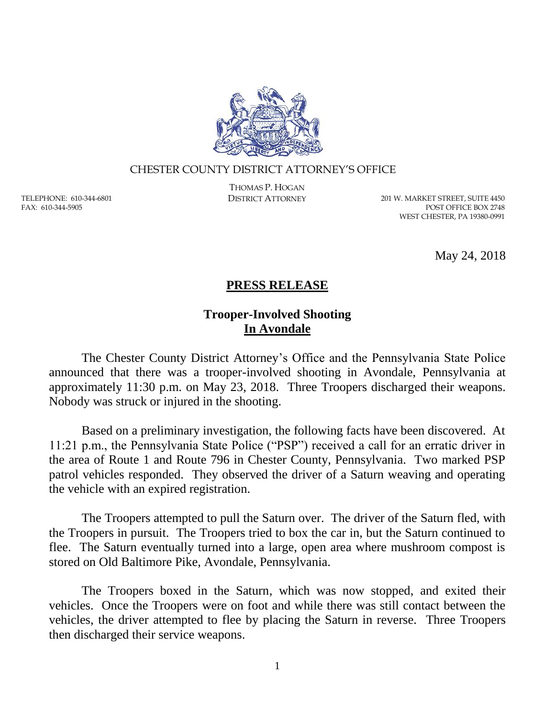

## CHESTER COUNTY DISTRICT ATTORNEY'S OFFICE

TELEPHONE: 610-344-6801 FAX: 610-344-5905

THOMAS P. HOGAN

DISTRICT ATTORNEY 201 W. MARKET STREET, SUITE 4450 POST OFFICE BOX 2748 WEST CHESTER, PA 19380-0991

May 24, 2018

## **PRESS RELEASE**

## **Trooper-Involved Shooting In Avondale**

The Chester County District Attorney's Office and the Pennsylvania State Police announced that there was a trooper-involved shooting in Avondale, Pennsylvania at approximately 11:30 p.m. on May 23, 2018. Three Troopers discharged their weapons. Nobody was struck or injured in the shooting.

Based on a preliminary investigation, the following facts have been discovered. At 11:21 p.m., the Pennsylvania State Police ("PSP") received a call for an erratic driver in the area of Route 1 and Route 796 in Chester County, Pennsylvania. Two marked PSP patrol vehicles responded. They observed the driver of a Saturn weaving and operating the vehicle with an expired registration.

The Troopers attempted to pull the Saturn over. The driver of the Saturn fled, with the Troopers in pursuit. The Troopers tried to box the car in, but the Saturn continued to flee. The Saturn eventually turned into a large, open area where mushroom compost is stored on Old Baltimore Pike, Avondale, Pennsylvania.

The Troopers boxed in the Saturn, which was now stopped, and exited their vehicles. Once the Troopers were on foot and while there was still contact between the vehicles, the driver attempted to flee by placing the Saturn in reverse. Three Troopers then discharged their service weapons.